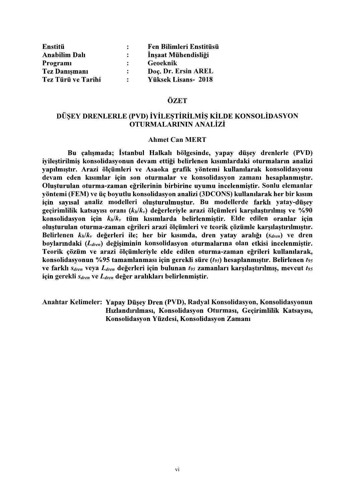| Enstitü              | $\mathbf{r}$ | Fen Bilimleri Enstitüsü    |
|----------------------|--------------|----------------------------|
| <b>Anabilim Dalı</b> |              | Inşaat Mühendisliği        |
| Programi             |              | Geoeknik                   |
| <b>Tez Danışmanı</b> |              | Doç. Dr. Ersin AREL        |
| Tez Türü ve Tarihi   | $\mathbf{L}$ | <b>Yüksek Lisans- 2018</b> |

#### ÖZET

# DÜŞEY DRENLERLE (PVD) İYİLEŞTİRİLMİŞ KİLDE KONSOLİDASYON OTURMALARININ ANALİZİ

#### Ahmet Can MERT

Bu çalışmada; İstanbul Halkalı bölgesinde, yapay düşey drenlerle (PVD) ivilestirilmis konsolidasvonun devam ettiği belirlenen kısımlardaki oturmaların analizi vapılmıştır. Arazi ölçümleri ve Asaoka grafik yöntemi kullanılarak konsolidasyonu devam eden kısımlar için son oturmalar ve konsolidasyon zamanı hesaplanmıştır. Oluşturulan oturma-zaman eğrilerinin birbirine uyumu incelenmiştir. Sonlu elemanlar vöntemi (FEM) ve üç boyutlu konsolidasyon analizi (3DCONS) kullanılarak her bir kısım icin savisal analiz modelleri olusturulmustur. Bu modellerde farklı vatav-düsev geçirimlilik katsayısı oranı ( $k_h/k_v$ ) değerleriyle arazi ölçümleri karsılaştırılmış ve %90 konsolidasyon için  $k_h/k_v$  tüm kısımlarda belirlenmiştir. Elde edilen oranlar için oluşturulan oturma-zaman eğrileri arazi ölçümleri ve teorik çözümle karşılaştırılmıştır.<br>Belirlenen  $k_h/k_v$  değerleri ile; her bir kısımda, boylarındaki ( $L_{dren}$ ) değişiminin konsolidasyon oturmalarına olan etkisi incelenmiştir.<br>Teorik çözüm ve arazi ölçümleriyle elde edilen oturma-zaman eğrileri kullanılarak, konsolidasyonun %95 tamamlanması için gerekli süre  $(t_{95})$  hesaplanmıştır. Belirlenen  $t_{95}$ ve farklı  $S_{dren}$  veya  $L_{dren}$  değerleri için bulunan  $t_{95}$  zamanları karşılaştırılmış, mevcut  $t_{95}$ için gerekli  $s_{dren}$  ve  $L_{dren}$  değer aralıkları belirlenmiştir.

Anahtar Kelimeler: Yapay Düşey Dren (PVD), Radyal Konsolidasyon, Konsolidasyonun Hızlandırılması, Konsolidasyon Oturması, Geçirimlilik Katsayısı, Konsolidasvon Yüzdesi, Konsolidasvon Zamanı